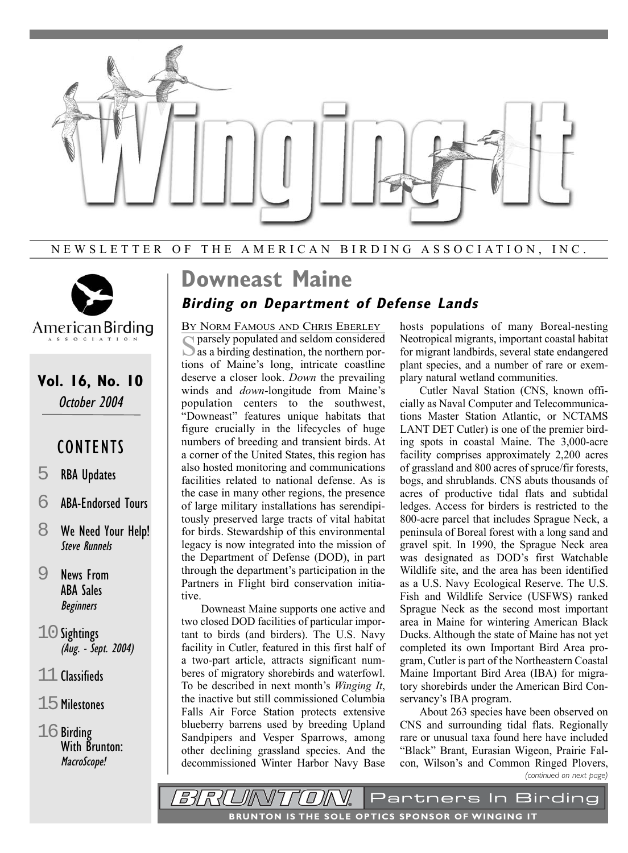

NEWSLETTER OF THE AMERICAN BIRDING ASSOCIATION, INC.



## **Vol. 16, No. 10** October 2004

## **CONTENTS**

- 5 RBA Updates
- 6 ABA-Endorsed Tours
- 8 We Need Your Help! Steve Runnels
- 9 News From ABA Sales Beginners
- $10$  Sightings (Aug. - Sept. 2004)
- 11 Classifieds
- 15Milestones
- $16$  Birding With Brunton: MacroScope!

# **Downeast Maine**

## **Birding on Department of Defense Lands**

BY NORM FAMOUS AND CHRIS EBERLEY Sparsely populated and seldom considered as a birding destination, the northern portions of Maine's long, intricate coastline deserve a closer look. *Down* the prevailing winds and *down*-longitude from Maine's population centers to the southwest, "Downeast" features unique habitats that figure crucially in the lifecycles of huge numbers of breeding and transient birds. At a corner of the United States, this region has also hosted monitoring and communications facilities related to national defense. As is the case in many other regions, the presence of large military installations has serendipitously preserved large tracts of vital habitat for birds. Stewardship of this environmental legacy is now integrated into the mission of the Department of Defense (DOD), in part through the department's participation in the Partners in Flight bird conservation initiative.

Downeast Maine supports one active and two closed DOD facilities of particular important to birds (and birders). The U.S. Navy facility in Cutler, featured in this first half of a two-part article, attracts significant numberes of migratory shorebirds and waterfowl. To be described in next month's *Winging It*, the inactive but still commissioned Columbia Falls Air Force Station protects extensive blueberry barrens used by breeding Upland Sandpipers and Vesper Sparrows, among other declining grassland species. And the decommissioned Winter Harbor Navy Base

hosts populations of many Boreal-nesting Neotropical migrants, important coastal habitat for migrant landbirds, several state endangered plant species, and a number of rare or exemplary natural wetland communities.

Cutler Naval Station (CNS, known officially as Naval Computer and Telecommunications Master Station Atlantic, or NCTAMS LANT DET Cutler) is one of the premier birding spots in coastal Maine. The 3,000-acre facility comprises approximately 2,200 acres of grassland and 800 acres of spruce/fir forests, bogs, and shrublands. CNS abuts thousands of acres of productive tidal flats and subtidal ledges. Access for birders is restricted to the 800-acre parcel that includes Sprague Neck, a peninsula of Boreal forest with a long sand and gravel spit. In 1990, the Sprague Neck area was designated as DOD's first Watchable Wildlife site, and the area has been identified as a U.S. Navy Ecological Reserve. The U.S. Fish and Wildlife Service (USFWS) ranked Sprague Neck as the second most important area in Maine for wintering American Black Ducks. Although the state of Maine has not yet completed its own Important Bird Area program, Cutler is part of the Northeastern Coastal Maine Important Bird Area (IBA) for migratory shorebirds under the American Bird Conservancy's IBA program.

About 263 species have been observed on CNS and surrounding tidal flats. Regionally rare or unusual taxa found here have included "Black" Brant, Eurasian Wigeon, Prairie Falcon, Wilson's and Common Ringed Plovers, *(continued on next page)*

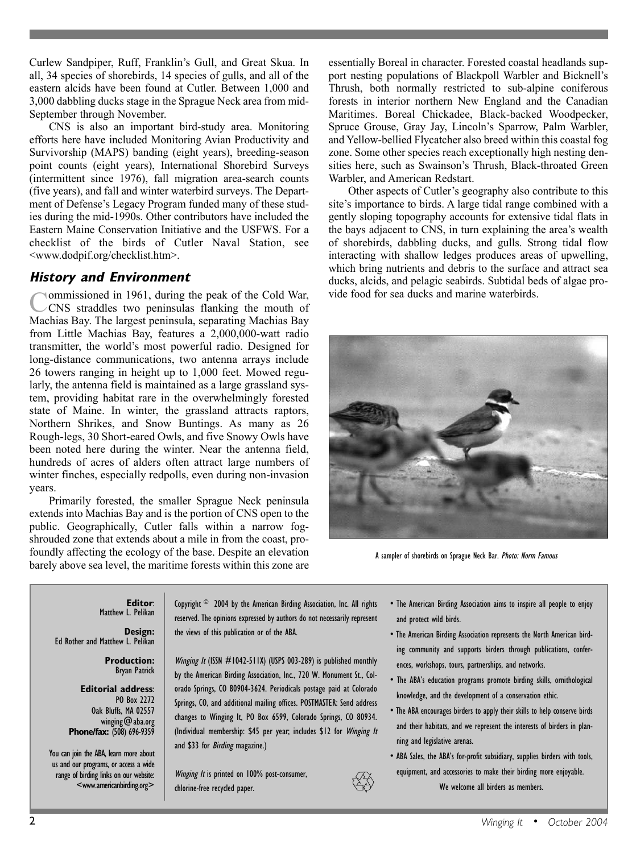Curlew Sandpiper, Ruff, Franklin's Gull, and Great Skua. In all, 34 species of shorebirds, 14 species of gulls, and all of the eastern alcids have been found at Cutler. Between 1,000 and 3,000 dabbling ducks stage in the Sprague Neck area from mid-September through November.

CNS is also an important bird-study area. Monitoring efforts here have included Monitoring Avian Productivity and Survivorship (MAPS) banding (eight years), breeding-season point counts (eight years), International Shorebird Surveys (intermittent since 1976), fall migration area-search counts (five years), and fall and winter waterbird surveys. The Department of Defense's Legacy Program funded many of these studies during the mid-1990s. Other contributors have included the Eastern Maine Conservation Initiative and the USFWS. For a checklist of the birds of Cutler Naval Station, see <www.dodpif.org/checklist.htm>.

### **History and Environment**

Commissioned in 1961, during the peak of the Cold War,<br>CNS straddles two peninsulas flanking the mouth of Machias Bay. The largest peninsula, separating Machias Bay from Little Machias Bay, features a 2,000,000-watt radio transmitter, the world's most powerful radio. Designed for long-distance communications, two antenna arrays include 26 towers ranging in height up to 1,000 feet. Mowed regularly, the antenna field is maintained as a large grassland system, providing habitat rare in the overwhelmingly forested state of Maine. In winter, the grassland attracts raptors, Northern Shrikes, and Snow Buntings. As many as 26 Rough-legs, 30 Short-eared Owls, and five Snowy Owls have been noted here during the winter. Near the antenna field, hundreds of acres of alders often attract large numbers of winter finches, especially redpolls, even during non-invasion years.

Primarily forested, the smaller Sprague Neck peninsula extends into Machias Bay and is the portion of CNS open to the public. Geographically, Cutler falls within a narrow fogshrouded zone that extends about a mile in from the coast, profoundly affecting the ecology of the base. Despite an elevation barely above sea level, the maritime forests within this zone are essentially Boreal in character. Forested coastal headlands support nesting populations of Blackpoll Warbler and Bicknell's Thrush, both normally restricted to sub-alpine coniferous forests in interior northern New England and the Canadian Maritimes. Boreal Chickadee, Black-backed Woodpecker, Spruce Grouse, Gray Jay, Lincoln's Sparrow, Palm Warbler, and Yellow-bellied Flycatcher also breed within this coastal fog zone. Some other species reach exceptionally high nesting densities here, such as Swainson's Thrush, Black-throated Green Warbler, and American Redstart.

Other aspects of Cutler's geography also contribute to this site's importance to birds. A large tidal range combined with a gently sloping topography accounts for extensive tidal flats in the bays adjacent to CNS, in turn explaining the area's wealth of shorebirds, dabbling ducks, and gulls. Strong tidal flow interacting with shallow ledges produces areas of upwelling, which bring nutrients and debris to the surface and attract sea ducks, alcids, and pelagic seabirds. Subtidal beds of algae provide food for sea ducks and marine waterbirds.



A sampler of shorebirds on Sprague Neck Bar. Photo: Norm Famous

**Editor**: Matthew L. Pelikan

**Design:** Ed Rother and Matthew L. Pelikan

> **Production:** Bryan Patrick

**Editorial address**: PO Box 2272 Oak Bluffs, MA 02557 winging@aba.org **Phone/fax:** (508) 696-9359

You can join the ABA, learn more about us and our programs, or access a wide range of birding links on our website: <www.americanbirding.org>

Copyright © 2004 by the American Birding Association, Inc. All rights reserved. The opinions expressed by authors do not necessarily represent the views of this publication or of the ABA.

*Winging It* (ISSN  $#1042-511X$ ) (USPS 003-289) is published monthly by the American Birding Association, Inc., 720 W. Monument St., Colorado Springs, CO 80904-3624. Periodicals postage paid at Colorado Springs, CO, and additional mailing offices. POSTMASTER: Send address changes to Winging It, PO Box 6599, Colorado Springs, CO 80934. (Individual membership: \$45 per year; includes \$12 for Winging It and \$33 for Birding magazine.)

Winging It is printed on 100% post-consumer, chlorine-free recycled paper.

- The American Birding Association aims to inspire all people to enjoy and protect wild birds.
- The American Birding Association represents the North American birding community and supports birders through publications, conferences, workshops, tours, partnerships, and networks.
- The ABA's education programs promote birding skills, ornithological knowledge, and the development of a conservation ethic.
- The ABA encourages birders to apply their skills to help conserve birds and their habitats, and we represent the interests of birders in planning and legislative arenas.
- ABA Sales, the ABA's for-profit subsidiary, supplies birders with tools, equipment, and accessories to make their birding more enjoyable.

We welcome all birders as members.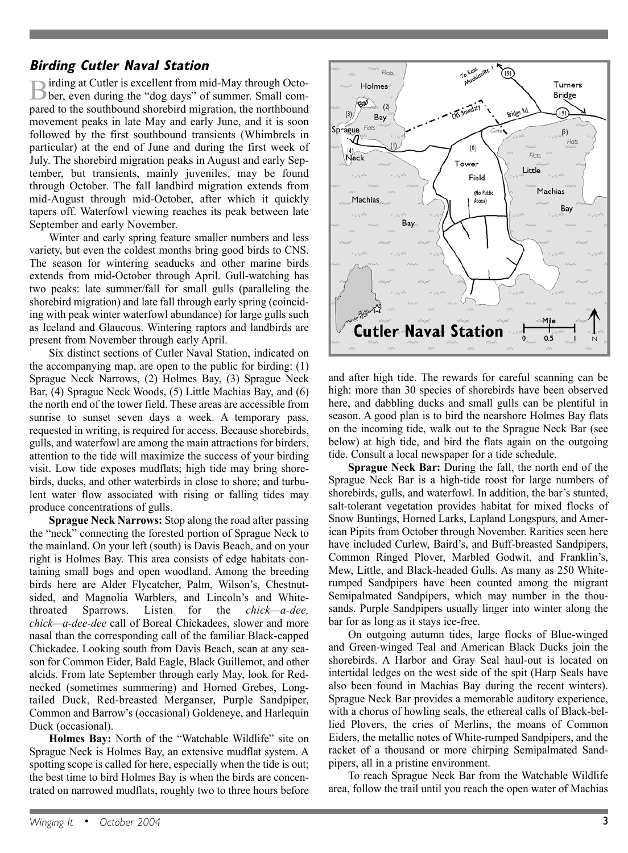## **Birding Cutler Naval Station**

Birding at Cutler is excellent from mid-May through Octo-<br>Ber, even during the "dog days" of summer. Small compared to the southbound shorebird migration, the northbound movement peaks in late May and early June, and it is soon followed by the first southbound transients (Whimbrels in particular) at the end of June and during the first week of July. The shorebird migration peaks in August and early September, but transients, mainly juveniles, may be found through October. The fall landbird migration extends from mid-August through mid-October, after which it quickly tapers off. Waterfowl viewing reaches its peak between late September and early November.

Winter and early spring feature smaller numbers and less variety, but even the coldest months bring good birds to CNS. The season for wintering seaducks and other marine birds extends from mid-October through April. Gull-watching has two peaks: late summer/fall for small gulls (paralleling the shorebird migration) and late fall through early spring (coinciding with peak winter waterfowl abundance) for large gulls such as Iceland and Glaucous. Wintering raptors and landbirds are present from November through early April.

Six distinct sections of Cutler Naval Station, indicated on the accompanying map, are open to the public for birding: (1) Sprague Neck Narrows, (2) Holmes Bay, (3) Sprague Neck Bar, (4) Sprague Neck Woods, (5) Little Machias Bay, and (6) the north end of the tower field. These areas are accessible from sunrise to sunset seven days a week. A temporary pass, requested in writing, is required for access. Because shorebirds, gulls, and waterfowl are among the main attractions for birders, attention to the tide will maximize the success of your birding visit. Low tide exposes mudflats; high tide may bring shorebirds, ducks, and other waterbirds in close to shore; and turbulent water flow associated with rising or falling tides may produce concentrations of gulls.

**Sprague Neck Narrows:** Stop along the road after passing the "neck" connecting the forested portion of Sprague Neck to the mainland. On your left (south) is Davis Beach, and on your right is Holmes Bay. This area consists of edge habitats containing small bogs and open woodland. Among the breeding birds here are Alder Flycatcher, Palm, Wilson's, Chestnutsided, and Magnolia Warblers, and Lincoln's and Whitethroated Sparrows. Listen for the *chick—a-dee, chick—a-dee-dee* call of Boreal Chickadees, slower and more nasal than the corresponding call of the familiar Black-capped Chickadee. Looking south from Davis Beach, scan at any season for Common Eider, Bald Eagle, Black Guillemot, and other alcids. From late September through early May, look for Rednecked (sometimes summering) and Horned Grebes, Longtailed Duck, Red-breasted Merganser, Purple Sandpiper, Common and Barrow's (occasional) Goldeneye, and Harlequin Duck (occasional).

**Holmes Bay:** North of the "Watchable Wildlife" site on Sprague Neck is Holmes Bay, an extensive mudflat system. A spotting scope is called for here, especially when the tide is out; the best time to bird Holmes Bay is when the birds are concentrated on narrowed mudflats, roughly two to three hours before



and after high tide. The rewards for careful scanning can be high: more than 30 species of shorebirds have been observed here, and dabbling ducks and small gulls can be plentiful in season. A good plan is to bird the nearshore Holmes Bay flats on the incoming tide, walk out to the Sprague Neck Bar (see below) at high tide, and bird the flats again on the outgoing tide. Consult a local newspaper for a tide schedule.

**Sprague Neck Bar:** During the fall, the north end of the Sprague Neck Bar is a high-tide roost for large numbers of shorebirds, gulls, and waterfowl. In addition, the bar's stunted, salt-tolerant vegetation provides habitat for mixed flocks of Snow Buntings, Horned Larks, Lapland Longspurs, and American Pipits from October through November. Rarities seen here have included Curlew, Baird's, and Buff-breasted Sandpipers, Common Ringed Plover, Marbled Godwit, and Franklin's, Mew, Little, and Black-headed Gulls. As many as 250 Whiterumped Sandpipers have been counted among the migrant Semipalmated Sandpipers, which may number in the thousands. Purple Sandpipers usually linger into winter along the bar for as long as it stays ice-free.

On outgoing autumn tides, large flocks of Blue-winged and Green-winged Teal and American Black Ducks join the shorebirds. A Harbor and Gray Seal haul-out is located on intertidal ledges on the west side of the spit (Harp Seals have also been found in Machias Bay during the recent winters). Sprague Neck Bar provides a memorable auditory experience, with a chorus of howling seals, the ethereal calls of Black-bellied Plovers, the cries of Merlins, the moans of Common Eiders, the metallic notes of White-rumped Sandpipers, and the racket of a thousand or more chirping Semipalmated Sandpipers, all in a pristine environment.

To reach Sprague Neck Bar from the Watchable Wildlife area, follow the trail until you reach the open water of Machias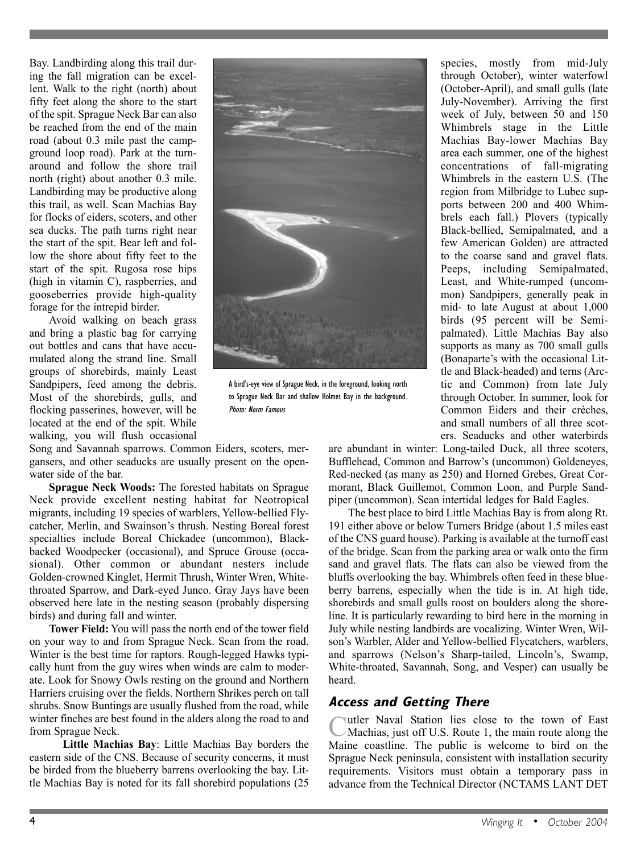Bay. Landbirding along this trail during the fall migration can be excellent. Walk to the right (north) about fifty feet along the shore to the start of the spit. Sprague Neck Bar can also be reached from the end of the main road (about 0.3 mile past the campground loop road). Park at the turnaround and follow the shore trail north (right) about another 0.3 mile. Landbirding may be productive along this trail, as well. Scan Machias Bay for flocks of eiders, scoters, and other sea ducks. The path turns right near the start of the spit. Bear left and follow the shore about fifty feet to the start of the spit. Rugosa rose hips (high in vitamin C), raspberries, and gooseberries provide high-quality forage for the intrepid birder.

Avoid walking on beach grass and bring a plastic bag for carrying out bottles and cans that have accumulated along the strand line. Small groups of shorebirds, mainly Least Sandpipers, feed among the debris. Most of the shorebirds, gulls, and flocking passerines, however, will be located at the end of the spit. While walking, you will flush occasional

Song and Savannah sparrows. Common Eiders, scoters, mergansers, and other seaducks are usually present on the openwater side of the bar.

**Sprague Neck Woods:** The forested habitats on Sprague Neck provide excellent nesting habitat for Neotropical migrants, including 19 species of warblers, Yellow-bellied Flycatcher, Merlin, and Swainson's thrush. Nesting Boreal forest specialties include Boreal Chickadee (uncommon), Blackbacked Woodpecker (occasional), and Spruce Grouse (occasional). Other common or abundant nesters include Golden-crowned Kinglet, Hermit Thrush, Winter Wren, Whitethroated Sparrow, and Dark-eyed Junco. Gray Jays have been observed here late in the nesting season (probably dispersing birds) and during fall and winter.

**Tower Field:** You will pass the north end of the tower field on your way to and from Sprague Neck. Scan from the road. Winter is the best time for raptors. Rough-legged Hawks typically hunt from the guy wires when winds are calm to moderate. Look for Snowy Owls resting on the ground and Northern Harriers cruising over the fields. Northern Shrikes perch on tall shrubs. Snow Buntings are usually flushed from the road, while winter finches are best found in the alders along the road to and from Sprague Neck.

**Little Machias Bay**: Little Machias Bay borders the eastern side of the CNS. Because of security concerns, it must be birded from the blueberry barrens overlooking the bay. Little Machias Bay is noted for its fall shorebird populations (25



A bird's-eye view of Sprague Neck, in the foreground, looking north to Sprague Neck Bar and shallow Holmes Bay in the background. Photo: Norm Famous

species, mostly from mid-July through October), winter waterfowl (October-April), and small gulls (late July-November). Arriving the first week of July, between 50 and 150 Whimbrels stage in the Little Machias Bay-lower Machias Bay area each summer, one of the highest concentrations of fall-migrating Whimbrels in the eastern U.S. (The region from Milbridge to Lubec supports between 200 and 400 Whimbrels each fall.) Plovers (typically Black-bellied, Semipalmated, and a few American Golden) are attracted to the coarse sand and gravel flats. Peeps, including Semipalmated, Least, and White-rumped (uncommon) Sandpipers, generally peak in mid- to late August at about 1,000 birds (95 percent will be Semipalmated). Little Machias Bay also supports as many as 700 small gulls (Bonaparte's with the occasional Little and Black-headed) and terns (Arctic and Common) from late July through October. In summer, look for Common Eiders and their crèches, and small numbers of all three scoters. Seaducks and other waterbirds

are abundant in winter: Long-tailed Duck, all three scoters, Bufflehead, Common and Barrow's (uncommon) Goldeneyes, Red-necked (as many as 250) and Horned Grebes, Great Cormorant, Black Guillemot, Common Loon, and Purple Sandpiper (uncommon). Scan intertidal ledges for Bald Eagles.

The best place to bird Little Machias Bay is from along Rt. 191 either above or below Turners Bridge (about 1.5 miles east of the CNS guard house). Parking is available at the turnoff east of the bridge. Scan from the parking area or walk onto the firm sand and gravel flats. The flats can also be viewed from the bluffs overlooking the bay. Whimbrels often feed in these blueberry barrens, especially when the tide is in. At high tide, shorebirds and small gulls roost on boulders along the shoreline. It is particularly rewarding to bird here in the morning in July while nesting landbirds are vocalizing. Winter Wren, Wilson's Warbler, Alder and Yellow-bellied Flycatchers, warblers, and sparrows (Nelson's Sharp-tailed, Lincoln's, Swamp, White-throated, Savannah, Song, and Vesper) can usually be heard.

## **Access and Getting There**

Cutler Naval Station lies close to the town of East Machias, just off U.S. Route 1, the main route along the Maine coastline. The public is welcome to bird on the Sprague Neck peninsula, consistent with installation security requirements. Visitors must obtain a temporary pass in advance from the Technical Director (NCTAMS LANT DET